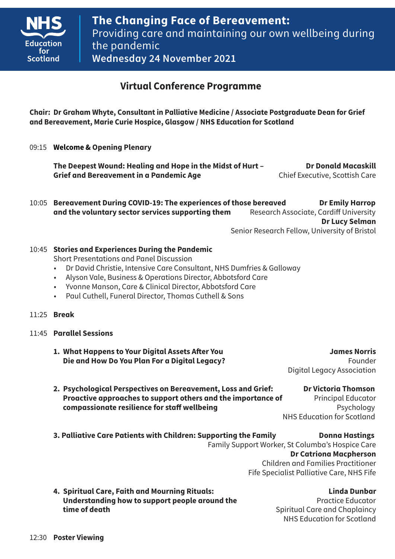

# **Virtual Conference Programme**

**Chair: Dr Graham Whyte, Consultant in Palliative Medicine / Associate Postgraduate Dean for Grief and Bereavement, Marie Curie Hospice, Glasgow / NHS Education for Scotland** 

09:15 **Welcome & Opening Plenary**

 **The Deepest Wound: Healing and Hope in the Midst of Hurt – Dr Donald Macaskill Grief and Bereavement in a Pandemic Age Executive, Scottish Care** 

10:05 **Bereavement During COVID-19: The experiences of those bereaved Dr Emily Harrop and the voluntary sector services supporting them** Research Associate, Cardiff University **Dr Lucy Selman**

Senior Research Fellow, University of Bristol

## 10:45 **Stories and Experiences During the Pandemic**

Short Presentations and Panel Discussion

- Dr David Christie, Intensive Care Consultant, NHS Dumfries & Galloway
- Alyson Vale, Business & Operations Director, Abbotsford Care
- Yvonne Manson, Care & Clinical Director, Abbotsford Care
- Paul Cuthell, Funeral Director, Thomas Cuthell & Sons
- 11:25 **Break**
- 11:45 **Parallel Sessions**
	- **1. What Happens to Your Digital Assets After You James Norris Die and How Do You Plan For a Digital Legacy?** Founder

Digital Legacy Association

**2. Psychological Perspectives on Bereavement, Loss and Grief: Dr Victoria Thomson Proactive approaches to support others and the importance of Principal Educator compassionate resilience for staff wellbeing**<br> **Expansion Psychology** 

**NHS Education for Scotland** 

**3. Palliative Care Patients with Children: Supporting the Family Conna Hastings beam** Family Support Worker, St Columba's Hospice Care **Dr Catriona Macpherson**  Children and Families Practitioner

Fife Specialist Palliative Care, NHS Fife

**4. Spiritual Care, Faith and Mourning Rituals: Linda Dunbar Understanding how to support people around the <b>Practice Educator** Practice Educator **time of death time of death Spiritual Care and Chaplaincy** 

NHS Education for Scotland